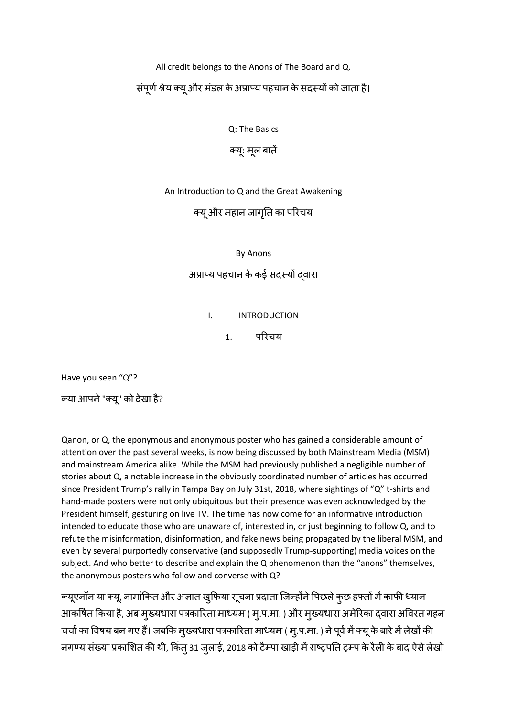All credit belongs to the Anons of The Board and Q.

संपूर्ण श्रेय क्यू और मंडल के अप्राप्य पहचान के सदस्यों को जाता है।

Q: The Basics

क्यू: मूल बातें

An Introduction to Q and the Great Awakening

क्यूऔर महान जागतृत का पररचय

By Anons

अप्राप्य पहचान केकई सदस्यों द्वारा

I. INTRODUCTION

1. पररचय

Have you seen "Q"?

क्या आपने "क्यू" को देखा है?

Qanon, or Q, the eponymous and anonymous poster who has gained a considerable amount of attention over the past several weeks, is now being discussed by both Mainstream Media (MSM) and mainstream America alike. While the MSM had previously published a negligible number of stories about Q, a notable increase in the obviously coordinated number of articles has occurred since President Trump's rally in Tampa Bay on July 31st, 2018, where sightings of "Q" t-shirts and hand-made posters were not only ubiquitous but their presence was even acknowledged by the President himself, gesturing on live TV. The time has now come for an informative introduction intended to educate those who are unaware of, interested in, or just beginning to follow Q, and to refute the misinformation, disinformation, and fake news being propagated by the liberal MSM, and even by several purportedly conservative (and supposedly Trump-supporting) media voices on the subject. And who better to describe and explain the Q phenomenon than the "anons" themselves, the anonymous posters who follow and converse with Q?

क्यूएनॉन या क्यू, नामांकित और अज्ञात खुफिया सूचना प्रदाता जिन्होंने पिछले कुछ हफ्तों में काफी ध्यान आकर्षित किया है, अब मुख्यधारा पत्रकारिता माध्यम ( मु.प.मा. ) और मुख्यधारा अमेरिका द्वारा अविरत गहन चर्चा का विषय बन गए हैं। जबकि मुख्यधारा पत्रकारिता माध्यम ( मु.प.मा. ) ने पूर्व में क्यू के बारे में लेखों की नगण्य संख्या प्रकाशित की थी, किंत् 31 जुलाई, 2018 को टैम्पा खाड़ी में राष्ट्रपति ट्रम्प के रैली के बाद ऐसे लेखों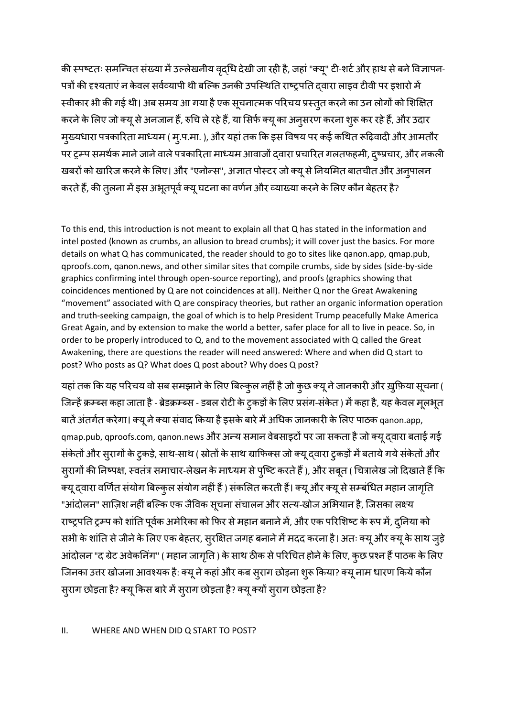की स्पष्टतः समन्वित संख्या में उल्लेखनीय वृदधि देखी जा रही है, जहां "क्यू" टी-शर्ट और हाथ से बने विज्ञापन-पत्रों की दृश्यताएं न केवल सर्वव्यापी थी बल्कि उनकी उपस्थिति राष्ट्रपति द्वारा लाइव टीवी पर इशारो में स्वीकार भी की गई थी। अब समय आ गया है एक सूचनात्मक परिचय प्रस्तुत करने का उन लोगों को शिक्षित करने के लिए जो क्यू से अनजान हैं, रुचि ले रहे हैं, या सिर्फ क्यू का अनुसरण करना शुरू कर रहे हैं, और उदार मुख्यधारा पत्रकारिता माध्यम ( मृ.प.मा. ), और यहां तक कि इस विषय पर कई कथित रूढ़िवादी और आमतौर पर ट्रम्प समर्थक माने जाने वाले पत्रकारिता माध्यम आवाजों द्वारा प्रचारित गलतफहमी, द्ष्प्रचार, और नकली खबरों को खारिज करने के लिए। और "एनोन्स", अज्ञात पोस्टर जो क्यू से नियमित बातचीत और अन्पालन करते हैं, की तुलना में इस अभूतपूर्व क्यू घटना का वर्णन और व्याख्या करने के लिए कौन बेहतर है?

To this end, this introduction is not meant to explain all that Q has stated in the information and intel posted (known as crumbs, an allusion to bread crumbs); it will cover just the basics. For more details on what Q has communicated, the reader should to go to sites like qanon.app, qmap.pub, qproofs.com, qanon.news, and other similar sites that compile crumbs, side by sides (side-by-side graphics confirming intel through open-source reporting), and proofs (graphics showing that coincidences mentioned by Q are not coincidences at all). Neither Q nor the Great Awakening "movement" associated with Q are conspiracy theories, but rather an organic information operation and truth-seeking campaign, the goal of which is to help President Trump peacefully Make America Great Again, and by extension to make the world a better, safer place for all to live in peace. So, in order to be properly introduced to Q, and to the movement associated with Q called the Great Awakening, there are questions the reader will need answered: Where and when did Q start to post? Who posts as Q? What does Q post about? Why does Q post?

यहां तक कि यह परिचय वो सब समझाने के लिए बिल्कुल नहीं है जो कुछ क्यू ने जानकारी और ख़ुफ़िया सूचना ( जिन्हें क्रम्ब्स कहा जाता है - ब्रेडक्रम्ब्स - डबल रोटी के ट्कड़ों के लिए प्रसंग-संकेत ) में कहा है, यह केवल मूलभूत बातें अंतर्गत करेगा। क्यू ने क्या संवाद किया है इसके बारे में अधिक जानकारी के लिए पाठक qanon.app, qmap.pub, qproofs.com, qanon.news और अन्य समान वेबसाइटों पर जा सकता है जो क्यू द्वारा बताई गई संकेतों और सुरागों के टुकड़े, साथ-साथ ( स्रोतों के साथ ग्राफिक्स जो क्यू दवारा टुकड़ों में बताये गये संकेतों और सुरागों की निष्पक्ष, स्वतंत्र समाचार-लेखन के माध्यम से पुष्टि करते हैं), और सबूत ( चित्रालेख जो दिखाते हैं कि क्यू दवारा वर्णित संयोग बिल्कुल संयोग नहीं हैं ) संकलित करती हैं। क्यू और क्यू से सम्बंधित महान जागृति "आंदोलन" साज़िश नहीं बल्कि एक जैविक सूचना संचालन और सत्य-खोज अभियान है, जिसका लक्ष्य राष्ट्रपति ट्रम्प को शांति पूर्वक अमेरिका को फिर से महान बनाने में, और एक परिशिष्ट के रूप में, दुनिया को सभी के शांति से जीने के लिए एक बेहतर, सुरक्षित जगह बनाने में मदद करना है। अतः क्यू और क्यू के साथ जुड़े आंदोलन "द ग्रेट अवेकनिंग" ( महान जागृति ) के साथ ठीक से परिचित होने के लिए, कुछ प्रश्न हैं पाठक के लिए जिनका उत्तर खोजना आवश्यक है: क्यू ने कहां और कब सुराग छोड़ना शुरू किया? क्यू नाम धारण किये कौन स्राग छोड़ता है? क्यू किस बारे में स्राग छोड़ता है? क्यू क्यों स्राग छोड़ता है?

#### II. WHERE AND WHEN DID Q START TO POST?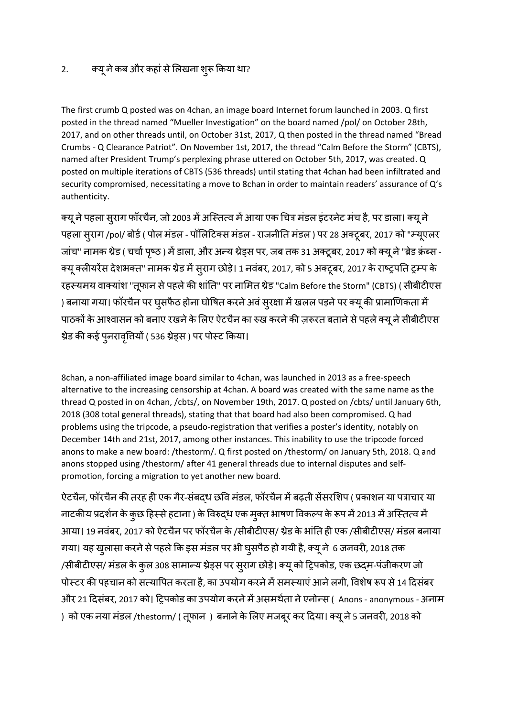## 2. क्यू ने कब और कहां से लिखना शुरू किया था?

The first crumb Q posted was on 4chan, an image board Internet forum launched in 2003. Q first posted in the thread named "Mueller Investigation" on the board named /pol/ on October 28th, 2017, and on other threads until, on October 31st, 2017, Q then posted in the thread named "Bread Crumbs - Q Clearance Patriot". On November 1st, 2017, the thread "Calm Before the Storm" (CBTS), named after President Trump's perplexing phrase uttered on October 5th, 2017, was created. Q posted on multiple iterations of CBTS (536 threads) until stating that 4chan had been infiltrated and security compromised, necessitating a move to 8chan in order to maintain readers' assurance of Q's authenticity.

क्यू ने पहला सुराग फॉरचैन, जो 2003 में अस्तित्व में आया एक चित्र मंडल इंटरनेट मंच है, पर डाला। क्यू ने पहला सूराग /pol/ बोर्ड ( पोल मंडल - पॉलिटिक्स मंडल - राजनीति मंडल ) पर 28 अक्टूबर, 2017 को "म्यूएलर जांच" नामक थ्रेड ( चर्चा पृष्ठ ) में डाला, और अन्य थ्रेड्स पर, जब तक 31 अक्टूबर, 2017 को क्यू ने "ब्रेड क्रंब्स -क्यू क्लीयरेंस देशभक्त" नामक थ्रेड में स्**राग छोड़े। 1 नवंबर, 2017, को 5 अक्टूबर,** 2017 के राष्ट्रपति ट्रम्प के रहस्यमय वाक्यांश "तूफान से पहले की शांति" पर नामित थ्रेड "Calm Before the Storm" (CBTS) ( सीबीटीएस ) बनाया गया। फॉरचैन पर घुसफैठ होना घोषित करने अवं सुरक्षा में खलल पड़ने पर क्यू की प्रामाणिकता में पाठकों के आश्वासन को बनाए रखने के लिए ऐटचैन का रुख करने की ज़रूरत बताने से पहले क्यू ने सीबीटीएस थ्रेड की कई पुनरावृत्तियों ( 536 थ्रेड्स ) पर पोस्ट किया।

8chan, a non-affiliated image board similar to 4chan, was launched in 2013 as a free-speech alternative to the increasing censorship at 4chan. A board was created with the same name as the thread Q posted in on 4chan, /cbts/, on November 19th, 2017. Q posted on /cbts/ until January 6th, 2018 (308 total general threads), stating that that board had also been compromised. Q had problems using the tripcode, a pseudo-registration that verifies a poster's identity, notably on December 14th and 21st, 2017, among other instances. This inability to use the tripcode forced anons to make a new board: /thestorm/. Q first posted on /thestorm/ on January 5th, 2018. Q and anons stopped using /thestorm/ after 41 general threads due to internal disputes and selfpromotion, forcing a migration to yet another new board.

ऐटचैन, फॉरचैन की तरह ही एक गैर-संबद्ध छवि मंडल, फॉरचैन में बढ़ती सेंसरशिप ( प्रकाशन या पत्राचार या नाटकीय प्रदर्शन के कुछ हिस्से हटाना ) के विरुद्ध एक मुक्त भाषण विकल्प के रूप में 2013 में अस्तित्व में आया। 19 नवंबर, 2017 को ऐटचैन पर फॉरचैन के /सीबीटीएस/ थ्रेड के भांति ही एक /सीबीटीएस/ मंडल बनाया गया। यह खुलासा करने से पहले कि इस मंडल पर भी घुसपैठ हो गयी है, क्यू ने 6 जनवरी, 2018 तक /सीबीटीएस/ मंडल के कुल 308 सामान्य थ्रेड्स पर स्**राग छोड़े। क्यू को ट्रिपकोड, एक छद्**म-पंजीकरण जो पोस्टर की पहचान को सत्यापित करता है, का उपयोग करने में समस्याएं आने लगी, विशेष रूप से 14 दिसंबर और 21 दिसंबर, 2017 को। ट्रिपकोड का उपयोग करने में असमर्थता ने एनोन्स ( Anons - anonymous - अनाम ) को एक नया मंडल /thestorm/ ( तूफान ) बनाने के लिए मजबूर कर दिया। क्यू ने 5 जनवरी, 2018 को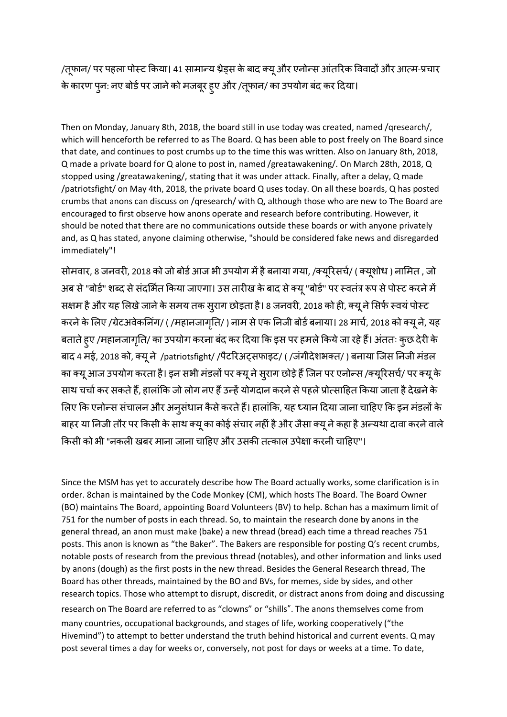/तिू ान/ पर पहला पोस्ट ककया। 41 सामान्य थ्रेड्स केबाद क्यूऔर एनोन्स आंतररक पववादों और आत्म-प्रचार के कारण पुन: नए बोर्ड पर जाने को मजबूर हुए और /तूफान/ का उपयोग बंद कर दिया।

Then on Monday, January 8th, 2018, the board still in use today was created, named /qresearch/, which will henceforth be referred to as The Board. Q has been able to post freely on The Board since that date, and continues to post crumbs up to the time this was written. Also on January 8th, 2018, Q made a private board for Q alone to post in, named /greatawakening/. On March 28th, 2018, Q stopped using /greatawakening/, stating that it was under attack. Finally, after a delay, Q made /patriotsfight/ on May 4th, 2018, the private board Q uses today. On all these boards, Q has posted crumbs that anons can discuss on /qresearch/ with Q, although those who are new to The Board are encouraged to first observe how anons operate and research before contributing. However, it should be noted that there are no communications outside these boards or with anyone privately and, as Q has stated, anyone claiming otherwise, "should be considered fake news and disregarded immediately"!

सोमवार, 8 जनवरी, 2018 को जो बोर्ड आज भी उपयोग में है बनाया गया, /क्यूरिसर्च/ ( क्यूशोध ) नामित , जो अब से "बोर्ड" शब्द से संदर्भित किया जाएगा। उस तारीख के बाद से क्यू "बोर्ड" पर स्वतंत्र रूप से पोस्ट करने में सक्षम है और यह लिखे जाने के समय तक सुराग छोड़ता है। 8 जनवरी, 2018 को ही, क्यू ने सिर्फ स्वयं पोस्ट करने के लिए /ग्रेटअवेकनिंग/ ( /महानजागृति/ ) नाम से एक निजी बोर्ड बनाया। 28 मार्च, 2018 को क्यू ने, यह बताते हुए /महानजागृति/ का उपयोग करना बंद कर दिया कि इस पर हमले किये जा रहे हैं। अंततः कुछ देरी के बाद 4 मई, 2018 को, क्यू ने /patriotsfight/ /पैटरिअट्सफाइट/ ( /जंगीदेशभक्त/ ) बनाया जिस निजी मंडल का क्यू आज उपयोग करता है। इन सभी मंडलों पर क्यू ने सुराग छोड़े हैं जिन पर एनोन्स /क्यूरिसर्च/ पर क्यू के साथ चर्चा कर सकते हैं, हालांकि जो लोग नए हैं उन्हें योगदान करने से पहले प्रोत्साहित किया जाता है देखने के लिए कि एनोन्स संचालन और अनुसंधान कैसे करते हैं। हालांकि, यह ध्यान दिया जाना चाहिए कि इन मंडलों के बाहर या निजी तौर पर किसी के साथ क्यू का कोई संचार नहीं है और जैसा क्यू ने कहा है अन्यथा दावा करने वाले किसी को भी "नकली खबर माना जाना चाहिए और उसकी तत्काल उपेक्षा करनी चाहिए"।

Since the MSM has yet to accurately describe how The Board actually works, some clarification is in order. 8chan is maintained by the Code Monkey (CM), which hosts The Board. The Board Owner (BO) maintains The Board, appointing Board Volunteers (BV) to help. 8chan has a maximum limit of 751 for the number of posts in each thread. So, to maintain the research done by anons in the general thread, an anon must make (bake) a new thread (bread) each time a thread reaches 751 posts. This anon is known as "the Baker". The Bakers are responsible for posting Q's recent crumbs, notable posts of research from the previous thread (notables), and other information and links used by anons (dough) as the first posts in the new thread. Besides the General Research thread, The Board has other threads, maintained by the BO and BVs, for memes, side by sides, and other research topics. Those who attempt to disrupt, discredit, or distract anons from doing and discussing research on The Board are referred to as "clowns" or "shills". The anons themselves come from many countries, occupational backgrounds, and stages of life, working cooperatively ("the Hivemind") to attempt to better understand the truth behind historical and current events. Q may post several times a day for weeks or, conversely, not post for days or weeks at a time. To date,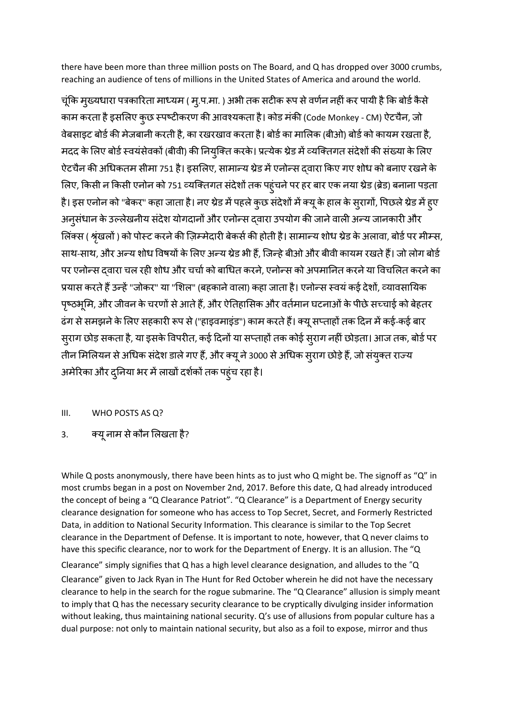there have been more than three million posts on The Board, and Q has dropped over 3000 crumbs, reaching an audience of tens of millions in the United States of America and around the world.

चूंकि मुख्यधारा पत्रकारिता माध्यम ( मु.प.मा. ) अभी तक सटीक रूप से वर्णन नहीं कर पायी है कि बोर्ड कैसे काम करता है इसलिए कुछ स्पष्टीकरण की आवश्यकता है। कोड मंकी (Code Monkey - CM) ऐटचैन, जो वेबसाइट बोर्ड की मेजबानी करती है, का रखरखाव करता है। बोर्ड का मालिक (बीओ) बोर्ड को कायम रखता है, मदद के लिए बोर्ड स्वयंसेवकों (बीवी) की नियुक्ति करके। प्रत्येक थ्रेड में व्यक्तिगत संदेशों की संख्या के लिए ऐटचैन की अधिकतम सीमा 751 है। इसलिए, सामान्य थ्रेड में एनोन्स दवारा किए गए शोध को बनाए रखने के लिए, किसी न किसी एनोन को 751 व्यक्तिगत संदेशों तक पहुंचने पर हर बार एक नया थ्रेड (ब्रेड) बनाना पड़ता है। इस एनोन को "बेकर" कहा जाता है। नए थ्रेड में पहले कुछ संदेशों में क्यू के हाल के सुरागों, पिछले थ्रेड में हुए अनुसंधान के उल्लेखनीय संदेश योगदानों और एनोन्स दवारा उपयोग की जाने वाली अन्य जानकारी और लिंक्स ( श्रृंखलों ) को पोस्ट करने की ज़िम्मेदारी बेकर्स की होती है। सामान्य शोध थ्रेड के अलावा, बोर्ड पर मीम्स, साथ-साथ, और अन्य शोध विषयों के लिए अन्य थ्रेड भी हैं, जिन्हे बीओ और बीवी कायम रखते हैं। जो लोग बोर्ड पर एनोन्स द्वारा चल रही शोध और चर्चा को बाधित करने, एनोन्स को अपमानित करने या विचलित करने का प्रयास करते हैं उन्हें "जोकर" या "शिल" (बहकाने वाला) कहा जाता है। एनोन्स स्वयं कई देशों, व्यावसायिक पृष्ठभूमि, और जीवन के चरणों से आते हैं, और ऐतिहासिक और वर्तमान घटनाओं के पीछे सच्चाई को बेहतर ढंग से समझने के लिए सहकारी रूप से ("हाइवमाइंड") काम करते हैं। क्यू सप्ताहों तक दिन में कई-कई बार स्राग छोड़ सकता है, या इसके विपरीत, कई दिनों या सप्ताहों तक कोई स्राग नहीं छोड़ता। आज तक, बोर्ड पर तीन मिलियन से अधिक संदेश डाले गए हैं, और क्यू ने 3000 से अधिक सुराग छोड़े हैं, जो संयुक्त राज्य अमेरिका और दुनिया भर में लाखों दर्शकों तक पहुंच रहा है।

### III. WHO POSTS AS Q?

3. क्यूनाम सेकौन शलखता है?

While Q posts anonymously, there have been hints as to just who Q might be. The signoff as "Q" in most crumbs began in a post on November 2nd, 2017. Before this date, Q had already introduced the concept of being a "Q Clearance Patriot". "Q Clearance" is a Department of Energy security clearance designation for someone who has access to Top Secret, Secret, and Formerly Restricted Data, in addition to National Security Information. This clearance is similar to the Top Secret clearance in the Department of Defense. It is important to note, however, that Q never claims to have this specific clearance, nor to work for the Department of Energy. It is an allusion. The "Q Clearance" simply signifies that Q has a high level clearance designation, and alludes to the "Q Clearance" given to Jack Ryan in The Hunt for Red October wherein he did not have the necessary clearance to help in the search for the rogue submarine. The "Q Clearance" allusion is simply meant to imply that Q has the necessary security clearance to be cryptically divulging insider information without leaking, thus maintaining national security. Q's use of allusions from popular culture has a dual purpose: not only to maintain national security, but also as a foil to expose, mirror and thus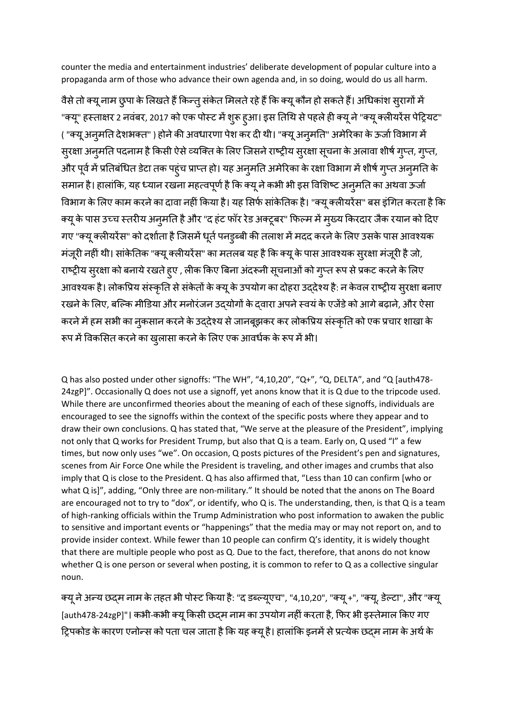counter the media and entertainment industries' deliberate development of popular culture into a propaganda arm of those who advance their own agenda and, in so doing, would do us all harm.

वैसे तो क्यू नाम छुपा के लिखते हैं किन्तु संकेत मिलते रहे हैं कि क्यू कौन हो सकते हैं। अधिकांश सुरागों में "क्यू" हस्ताक्षर 2 नवंबर, 2017 को एक पोस्ट में शुरू हुआ। इस तिथि से पहले ही क्यू ने "क्यू क्लीयरेंस पेट्रियट" ( "क्यू अनुमति देशभक्त" ) होने की अवधारणा पेश कर दी थी। "क्यू अनुमति" अमेरिका के ऊर्जा विभाग में स्रक्षा अनुमति पदनाम है किसी ऐसे व्यक्ति के लिए जिसने राष्ट्रीय सुरक्षा सूचना के अलावा शीर्ष गुप्त, गुप्त, ओर पूर्व में प्रतिबंधित डेटा तक पहुंच प्राप्त हो। यह अनुमति अमेरिका के रक्षा विभाग में शीर्ष ग्प्त अनुमति के समान है। हालांकि, यह ध्यान रखना महत्वपूर्ण है कि क्यू ने कभी भी इस विशिष्ट अनूमति का अथवा ऊर्जा विभाग के लिए काम करने का दावा नहीं किया है। यह सिर्फ सांकेतिक है। "क्यू क्लीयरेंस" बस इंगित करता है कि क्यू के पास उच्च स्तरीय अनुमति है और "द हंट फॉर रेड अक्टूबर" फिल्म में मुख्य किरदार जैक रयान को दिए गए "क्यू कलीयरेंस" को दर्शाता है जिसमें धूर्त पनडुब्बी की तलाश में मदद करने के लिए उसके पास आवश्यक मंजूरी नहीं थी। सांकेतिक "क्यू क्लीयरेंस" का मतलब यह है कि क्यू के पास आवश्यक स्**रक्षा मंजूरी है** जो, राष्ट्रीय सुरक्षा को बनाये रखते हुए , लीक किए बिना अंदरूनी सूचनाओं को गुप्त रूप से प्रकट करने के लिए आवश्यक है। लोकप्रिय संस्कृति से संकेतों के क्यू के उपयोग का दोहरा उददेश्य है: न केवल राष्ट्रीय सुरक्षा बनाए रखने के लिए, बल्कि मीडिया और मनोरंजन उद्योगों के दवारा अपने स्वयं के एजेंडे को आगे बढ़ाने, और ऐसा करने में हम सभी का नुकसान करने के उददेश्य से जानबूझकर कर लोकप्रिय संस्कृति को एक प्रचार शाखा के रूप में विकसित करने का खुलासा करने के लिए एक आवर्धक के रूप में भी।

Q has also posted under other signoffs: "The WH", "4,10,20", "Q+", "Q, DELTA", and "Q [auth478- 24zgP]". Occasionally Q does not use a signoff, yet anons know that it is Q due to the tripcode used. While there are unconfirmed theories about the meaning of each of these signoffs, individuals are encouraged to see the signoffs within the context of the specific posts where they appear and to draw their own conclusions. Q has stated that, "We serve at the pleasure of the President", implying not only that Q works for President Trump, but also that Q is a team. Early on, Q used "I" a few times, but now only uses "we". On occasion, Q posts pictures of the President's pen and signatures, scenes from Air Force One while the President is traveling, and other images and crumbs that also imply that Q is close to the President. Q has also affirmed that, "Less than 10 can confirm [who or what Q is]", adding, "Only three are non-military." It should be noted that the anons on The Board are encouraged not to try to "dox", or identify, who Q is. The understanding, then, is that Q is a team of high-ranking officials within the Trump Administration who post information to awaken the public to sensitive and important events or "happenings" that the media may or may not report on, and to provide insider context. While fewer than 10 people can confirm Q's identity, it is widely thought that there are multiple people who post as Q. Due to the fact, therefore, that anons do not know whether Q is one person or several when posting, it is common to refer to Q as a collective singular noun.

क्यू ने अन्य छद्म नाम के तहत भी पोस्ट किया है: "द डब्ल्यूएच", "4,10,20", "क्यू +", "क्यू, डेल्टा", और "क्यू [auth478-24zgP]"। कभी-कभी क्यू किसी छदम नाम का उपयोग नहीं करता है, फिर भी इस्तेमाल किए गए ट्रिपकोड के कारण एनोन्स को पता चल जाता है कि यह क्यू है। हालांकि इनमें से प्रत्येक छद्म नाम के अर्थ के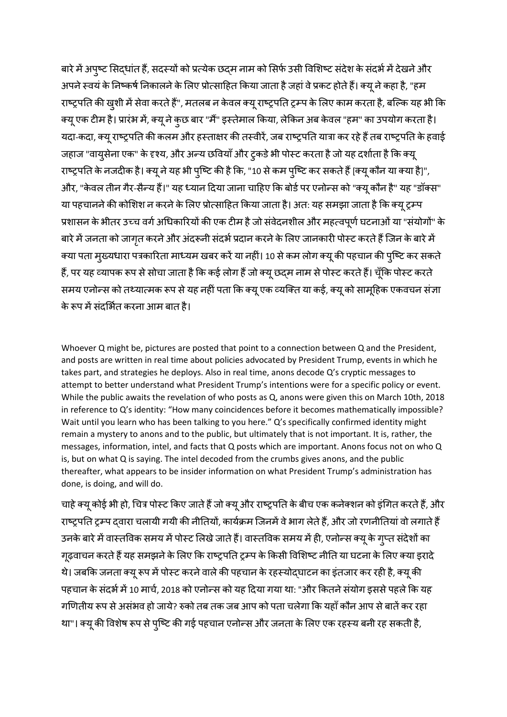बारे में अपुष्ट सिद्धांत हैं, सदस्यों को प्रत्येक छद्म नाम को सिर्फ उसी विशिष्ट संदेश के संदर्भ में देखने और अपने स्वयं के निष्कर्ष निकालने के लिए प्रोत्साहित किया जाता है जहां वे प्रकट होते हैं। क्यू ने कहा है, "हम राष्ट्रपति की खुशी में सेवा करते हैं", मतलब न केवल क्यू राष्ट्रपति ट्रम्प के लिए काम करता है, बल्कि यह भी कि क्यूएक टीम है। प्रारंभ में, क्यूनेकुछ बार "मैं" इस्तेमाल ककया, लेककन अब के वल "हम" का उपयोग करता है। यदा-कदा, क्यू राष्ट्रपति की कलम और हस्ताक्षर की तस्वीरें, जब राष्ट्रपति यात्रा कर रहे हैं तब राष्ट्रपति के हवाई जहाज "वायुसेना एक" के दृश्य, और अन्य छवियाँ और ट्कडे भी पोस्ट करता है जो यह दर्शाता है कि क्यू राष्ट्रपति के नजदीक है। क्यू ने यह भी पुष्टि की है कि, "10 से कम पुष्टि कर सकते हैं [क्यू कौन या क्या है]", और, "केवल तीन गैर-सैन्य हैं।" यह ध्यान दिया जाना चाहिए कि बोर्ड पर एनोन्स को "क्यू कौन है" यह "डॉक्स" या पहचानने की कोशिश न करने के लिए प्रोत्साहित किया जाता है। अत: यह समझा जाता है कि क्यू ट्रम्प प्रशासन के भीतर उच्च वर्ग अधिकारियों की एक टीम है जो संवेदनशील और महत्वपूर्ण घटनाओं या "संयोगों" के बारे में जनता को जागृत करने और अंदरूनी संदर्भ प्रदान करने के लिए जानकारी पोस्ट करते हैं जिन के बारे में क्या पता मुख्यधारा पत्रकारिता माध्यम खबर करें या नहीं। 10 से कम लोग क्यू की पहचान की पुष्टि कर सकते हैं, पर यह व्यापक रूप से सोचा जाता है कि कई लोग हैं जो क्यू छद्म नाम से पोस्ट करते हैं। चूँकि पोस्ट करते समय एनोन्स को तथ्यात्मक रूप से यह नहीं पता कि क्यू एक व्यक्ति या कई, क्यू को सामूहिक एकवचन संज्ञा के रूप में संदर्भित करना आम बात है।

Whoever Q might be, pictures are posted that point to a connection between Q and the President, and posts are written in real time about policies advocated by President Trump, events in which he takes part, and strategies he deploys. Also in real time, anons decode Q's cryptic messages to attempt to better understand what President Trump's intentions were for a specific policy or event. While the public awaits the revelation of who posts as Q, anons were given this on March 10th, 2018 in reference to Q's identity: "How many coincidences before it becomes mathematically impossible? Wait until you learn who has been talking to you here." Q's specifically confirmed identity might remain a mystery to anons and to the public, but ultimately that is not important. It is, rather, the messages, information, intel, and facts that Q posts which are important. Anons focus not on who Q is, but on what Q is saying. The intel decoded from the crumbs gives anons, and the public thereafter, what appears to be insider information on what President Trump's administration has done, is doing, and will do.

चाहे क्यू कोई भी हो, चित्र पोस्ट किए जाते हैं जो क्यू और राष्ट्रपति के बीच एक कनेक्शन को इंगित करते हैं, और राष्ट्रपति ट्रम्प दवारा चलायी गयी की नीतियों, कार्यक्रम जिनमें वे भाग लेते हैं, और जो रणनीतियां वो लगाते हैं उनके बारे में वास्तविक समय में पोस्ट लिखे जाते हैं। वास्तविक समय में ही, एनोन्स क्यू के गूप्त संदेशों का गृढ़वाचन करते हैं यह समझने के लिए कि राष्ट्रपति ट्रम्प के किसी विशिष्ट नीति या घटना के लिए क्या इरादे थे। जबकि जनता क्यू रूप में पोस्ट करने वाले की पहचान के रहस्योद्घाटन का इंतजार कर रही है, क्यू की पहचान के संदर्भ में 10 मार्च, 2018 को एनोन्स को यह दिया गया था: "और कितने संयोग इससे पहले कि यह गणितीय रूप से असंभव हो जाये? रुको तब तक जब आप को पता चलेगा कि यहाँ कौन आप से बातें कर रहा था"। क्यू की विशेष रूप से पुष्टि की गई पहचान एनोन्स और जनता के लिए एक रहस्य बनी रह सकती है,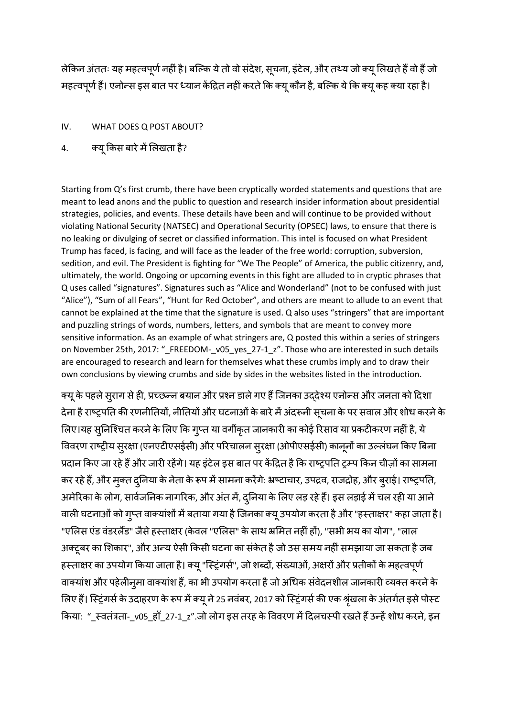लेकिन अंततः यह महत्वपूर्ण नहीं है। बल्कि ये तो वो संदेश, सूचना, इंटेल, और तथ्य जो क्यू लिखते हैं वो हैं जो महत्वपूर्ण हैं। एनोन्स इस बात पर ध्यान केंद्रित नहीं करते कि क्यू कौन है, बल्कि ये कि क्यू कह क्या रहा है।

#### IV. WHAT DOES Q POST ABOUT?

# 4. क्यू किस बारे में लिखता है?

Starting from Q's first crumb, there have been cryptically worded statements and questions that are meant to lead anons and the public to question and research insider information about presidential strategies, policies, and events. These details have been and will continue to be provided without violating National Security (NATSEC) and Operational Security (OPSEC) laws, to ensure that there is no leaking or divulging of secret or classified information. This intel is focused on what President Trump has faced, is facing, and will face as the leader of the free world: corruption, subversion, sedition, and evil. The President is fighting for "We The People" of America, the public citizenry, and, ultimately, the world. Ongoing or upcoming events in this fight are alluded to in cryptic phrases that Q uses called "signatures". Signatures such as "Alice and Wonderland" (not to be confused with just "Alice"), "Sum of all Fears", "Hunt for Red October", and others are meant to allude to an event that cannot be explained at the time that the signature is used. Q also uses "stringers" that are important and puzzling strings of words, numbers, letters, and symbols that are meant to convey more sensitive information. As an example of what stringers are, Q posted this within a series of stringers on November 25th, 2017: " FREEDOM- v05 yes 27-1 z". Those who are interested in such details are encouraged to research and learn for themselves what these crumbs imply and to draw their own conclusions by viewing crumbs and side by sides in the websites listed in the introduction.

क्यू के पहले सुराग से ही, प्रच्छन्न बयान और प्रश्न डाले गए हैं जिनका उददेश्य एनोन्स और जनता को दिशा देना है राष्ट्रपति की रणनीतियों, नीतियों और घटनाओं के बारे में अंदरूनी सूचना के पर सवाल और शोध करने के लिए।यह स्निश्चित करने के लिए कि ग्प्त या वर्गीकृत जानकारी का कोई रिसाव या प्रकटीकरण नहीं है, ये विवरण राष्ट्रीय स्रक्षा (एनएटीएसईसी) और परिचालन स्रक्षा (ओपीएसईसी) कानूनों का उल्लंघन किए बिना प्रदान किए जा रहे हैं और जारी रहेंगे। यह इंटेल इस बात पर केंद्रित है कि राष्ट्रपति ट्रम्प किन चीज़ों का सामना कर रहे हैं, और मुक्त दुनिया के नेता के रूप में सामना करेंगे: भ्रष्टाचार, उपद्रव, राजद्रोह, और बुराई। राष्ट्रपति, अमेरिका के लोग, सार्वजनिक नागरिक, और अंत में, दुनिया के लिए लड़ रहे हैं। इस लड़ाई में चल रही या आने वाली घटनाओं को गुप्त वाक्यांशों में बताया गया है जिनका क्यू उपयोग करता है और "हस्ताक्षर" कहा जाता है। "एलिस एंड वंडरलैंड" जैसे हस्ताक्षर (केवल "एलिस" के साथ भ्रमित नहीं हों), "सभी भय का योग", "लाल अक्टूबर का शिकार", और अन्य ऐसी किसी घटना का संकेत है जो उस समय नहीं समझाया जा सकता है जब हस्ताक्षर का उपयोग किया जाता है। क्यू "स्ट्रिंगर्स", जो शब्दों, संख्याओं, अक्षरों और प्रतीकों के महत्वपूर्ण वाक्यांश और पहेलीन्मा वाक्यांश हैं, का भी उपयोग करता है जो अधिक संवेदनशील जानकारी व्यक्त करने के लिए हैं। स्ट्रिंगर्स के उदाहरण के रूप में क्यू ने 25 नवंबर, 2017 को स्ट्रिंगर्स की एक श्रृंखला के अंतर्गत इसे पोस्ट किया: "\_स्वतंत्रता-\_v05\_हाँ\_27-1\_z".जो लोग इस तरह के विवरण में दिलचस्पी रखते हैं उन्हें शोध करने, इन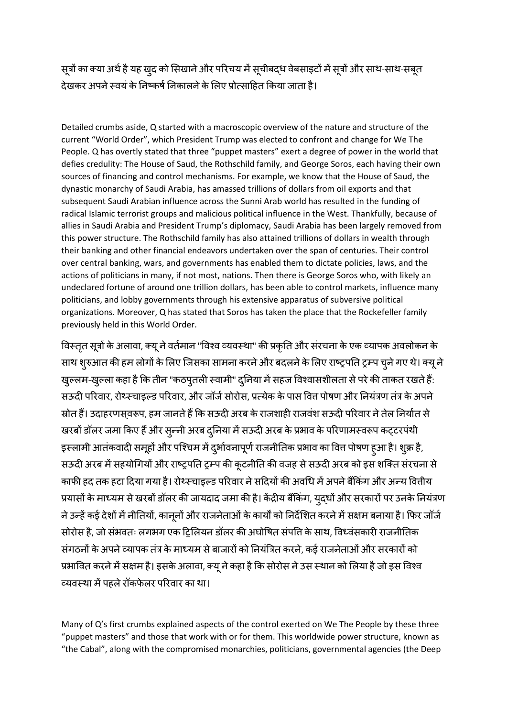सूत्रों का क्या अर्थ है यह खुद को सिखाने और परिचय में सूचीबद्ध वेबसाइटों में सूत्रों और साथ-साथ-सबूत देखकर अपने स्वयं के निष्कर्ष निकालने के लिए प्रोत्साहित किया जाता है।

Detailed crumbs aside, Q started with a macroscopic overview of the nature and structure of the current "World Order", which President Trump was elected to confront and change for We The People. Q has overtly stated that three "puppet masters" exert a degree of power in the world that defies credulity: The House of Saud, the Rothschild family, and George Soros, each having their own sources of financing and control mechanisms. For example, we know that the House of Saud, the dynastic monarchy of Saudi Arabia, has amassed trillions of dollars from oil exports and that subsequent Saudi Arabian influence across the Sunni Arab world has resulted in the funding of radical Islamic terrorist groups and malicious political influence in the West. Thankfully, because of allies in Saudi Arabia and President Trump's diplomacy, Saudi Arabia has been largely removed from this power structure. The Rothschild family has also attained trillions of dollars in wealth through their banking and other financial endeavors undertaken over the span of centuries. Their control over central banking, wars, and governments has enabled them to dictate policies, laws, and the actions of politicians in many, if not most, nations. Then there is George Soros who, with likely an undeclared fortune of around one trillion dollars, has been able to control markets, influence many politicians, and lobby governments through his extensive apparatus of subversive political organizations. Moreover, Q has stated that Soros has taken the place that the Rockefeller family previously held in this World Order.

विस्तृत सूत्रों के अलावा, क्यू ने वर्तमान "विश्व व्यवस्था" की प्रकृति और संरचना के एक व्यापक अवलोकन के साथ शुरुआत की हम लोगों के लिए जिसका सामना करने और बदलने के लिए राष्ट्रपति ट्रम्प चुने गए थे। क्यू ने खुल्लम-खुल्ला कहा है कि तीन "कठपुतली स्वामी" दुनिया में सहज विश्वासशीलता से परे की ताकत रखते हैं: सऊदी परिवार, रोथ्स्चाइल्ड परिवार, और जॉर्ज सोरोस, प्रत्येक के पास वित्त पोषण और नियंत्रण तंत्र के अपने स्रोत हैं। उदाहरणसवरूप, हम जानते हैं कि सऊदी अरब के राजशाही राजवंश सऊदी परिवार ने तेल निर्यात से खरबों डॉलर जमा किए हैं और सून्नी अरब दुनिया में सऊदी अरब के प्रभाव के परिणामस्वरूप कट्टरपंथी इस्लामी आतंकवादी समूहों और पश्चिम में दुर्भावनापूर्ण राजनीतिक प्रभाव का वित्त पोषण हुआ है। श्क्र है, सऊदी अरब में सहयोगियों और राष्ट्रपति ट्रम्प की कुटनीति की वजह से सऊदी अरब को इस शक्ति संरचना से काफी हद तक हटा दिया गया है। रोथ्स्चाइल्ड परिवार ने सदियों की अवधि में अपने बैंकिंग और अन्य वित्तीय प्रयासों के माध्यम से खरबों डॉलर की जायदाद जमा की है। केंद्रीय बैंकिंग, युद्धों और सरकारों पर उनके नियंत्रण ने उन्हें कई देशों में नीतियों, कानूनों और राजनेताओं के कार्यों को निर्देशित करने में सक्षम बनाया है। फिर जॉर्ज सोरोस है, जो संभवतः लगभग एक ट्रिलियन डॉलर की अघोषित संपत्ति के साथ, विध्वंसकारी राजनीतिक संगठनों के अपने व्यापक तंत्र के माध्यम से बाजारों को नियंत्रित करने, कई राजनेताओं और सरकारों को प्रभावित करने में सक्षम है। इसके अलावा, क्यू ने कहा है कि सोरोस ने उस स्थान को लिया है जो इस विश्व व्यवस्था मेंपहलेरॉकिे लर पररवार का था।

Many of Q's first crumbs explained aspects of the control exerted on We The People by these three "puppet masters" and those that work with or for them. This worldwide power structure, known as "the Cabal", along with the compromised monarchies, politicians, governmental agencies (the Deep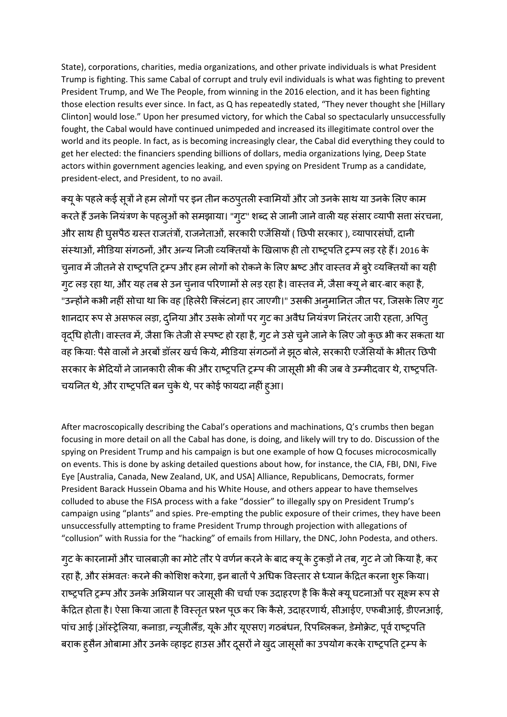State), corporations, charities, media organizations, and other private individuals is what President Trump is fighting. This same Cabal of corrupt and truly evil individuals is what was fighting to prevent President Trump, and We The People, from winning in the 2016 election, and it has been fighting those election results ever since. In fact, as Q has repeatedly stated, "They never thought she [Hillary Clinton] would lose." Upon her presumed victory, for which the Cabal so spectacularly unsuccessfully fought, the Cabal would have continued unimpeded and increased its illegitimate control over the world and its people. In fact, as is becoming increasingly clear, the Cabal did everything they could to get her elected: the financiers spending billions of dollars, media organizations lying, Deep State actors within government agencies leaking, and even spying on President Trump as a candidate, president-elect, and President, to no avail.

क्यू के पहले कई सूत्रों ने हम लोगों पर इन तीन कठप्**तली स्वामियों और जो उनके साथ या उनके** लिए काम करते हैं उनके नियंत्रण के पहलूओं को समझाया। "गुट" शब्द से जानी जाने वाली यह संसार व्यापी सत्ता संरचना, ओर साथ ही घुसपैठ ग्रस्त राजतंत्रों, राजनेताओं, सरकारी एजेंसियों ( छिपी सरकार ), व्यापारसंघों, दानी संस्थाओं, मीडडया संगठनों, और अन्य तनजी व्यजक्तयों केर्खलाि ही तो राष्ट्रपतत रम्प लड रहेहैं। 2016 के चुनाव में जीतने से राष्ट्रपति ट्रम्प और हम लोगों को रोकने के लिए भ्रष्ट और वास्तव में बूरे व्यक्तियों का यही गूट लड़ रहा था, और यह तब से उन चुनाव परिणामों से लड़ रहा है। वास्तव में, जैसा क्यू ने बार-बार कहा है, "उन्होंने कभी नहीं सोचा था कि वह [हिलेरी क्लिंटन] हार जाएगी।" उसकी अन् मानित जीत पर, जिसके लिए ग्**ट** शानदार रूप से असफल लड़ा, दुनिया और उसके लोगों पर गुट का अवैध नियंत्रण निरंतर जारी रहता, अपितु वृद्धि होती। वास्तव में, जैसा कि तेजी से स्पष्ट हो रहा है, गुट ने उसे चुने जाने के लिए जो कुछ भी कर सकता था वह किया: पैसे वालों ने अरबों डॉलर खर्च किये, मीडिया संगठनों ने झूठ बोले, सरकारी एजेंसियों के भीतर छिपी सरकार के भेदियों ने जानकारी लीक की और राष्ट्रपति ट्रम्प की जासूसी भी की जब वे उम्मीदवार थे, राष्ट्रपति-चयनित थे, और राष्ट्रपति बन चुके थे, पर कोई फायदा नहीं हुआ।

After macroscopically describing the Cabal's operations and machinations, Q's crumbs then began focusing in more detail on all the Cabal has done, is doing, and likely will try to do. Discussion of the spying on President Trump and his campaign is but one example of how Q focuses microcosmically on events. This is done by asking detailed questions about how, for instance, the CIA, FBI, DNI, Five Eye [Australia, Canada, New Zealand, UK, and USA] Alliance, Republicans, Democrats, former President Barack Hussein Obama and his White House, and others appear to have themselves colluded to abuse the FISA process with a fake "dossier" to illegally spy on President Trump's campaign using "plants" and spies. Pre-empting the public exposure of their crimes, they have been unsuccessfully attempting to frame President Trump through projection with allegations of "collusion" with Russia for the "hacking" of emails from Hillary, the DNC, John Podesta, and others.

गुट के कारनामों और चालबाज़ी का मोटे तौर पे वर्णन करने के बाद क्यू के ट्कड़ों ने तब, गुट ने जो किया है, कर रहा है, और संभवतः करने की कोशिश करेगा, इन बातों पे अधिक विस्तार से ध्यान केंद्रित करना शुरू किया। राष्ट्रपति ट्रम्प और उनके अभियान पर जासूसी की चर्चा एक उदाहरण है कि कैसे क्यू घटनाओं पर सूक्ष्म रूप से केंद्रित होता है। ऐसा किया जाता है विस्तृत प्रश्न पूछ कर कि कैसे, उदाहरणार्थ, सीआईए, एफबीआई, डीएनआई, पांच आई [ऑस्ट्रेलिया, कनाडा, न्यूजीलैंड, यूके और यूएसए] गठबंधन, रिपब्लिकन, डेमोक्रेट, पूर्व राष्ट्रपति बराक हुसैन ओबामा और उनके व्हाइट हाउस और दूसरों ने खुद जासूसों का उपयोग करके राष्ट्रपति ट्रम्प के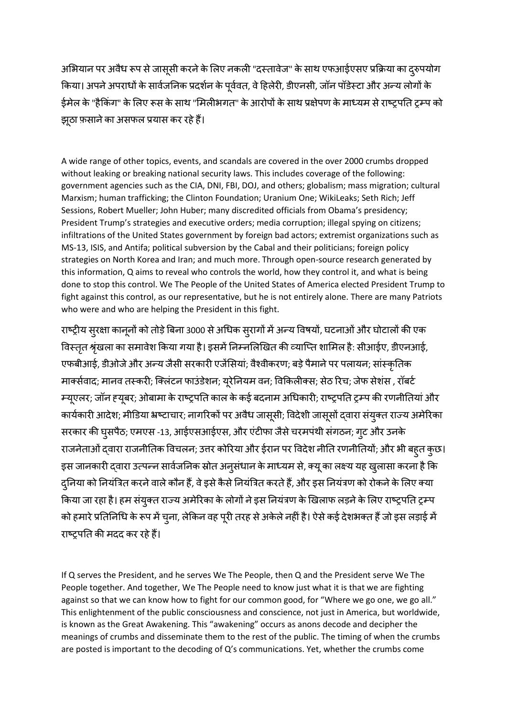अभियान पर अवैध रूप से जासूसी करने के लिए नकली "दस्तावेज" के साथ एफआईएसए प्रक्रिया का दुरुपयोग किया। अपने अपराधों के सार्वजनिक प्रदर्शन के पूर्ववत, वे हिलेरी, डीएनसी, जॉन पॉडेस्टा और अन्य लोगों के ईमेल के "हैकिंग" के लिए रूस के साथ "मिलीभगत" के आरोपों के साथ प्रक्षेपण के माध्यम से राष्ट्रपति ट्रम्प को झूठा फ़साने का असफल प्रयास कर रहे हैं।

A wide range of other topics, events, and scandals are covered in the over 2000 crumbs dropped without leaking or breaking national security laws. This includes coverage of the following: government agencies such as the CIA, DNI, FBI, DOJ, and others; globalism; mass migration; cultural Marxism; human trafficking; the Clinton Foundation; Uranium One; WikiLeaks; Seth Rich; Jeff Sessions, Robert Mueller; John Huber; many discredited officials from Obama's presidency; President Trump's strategies and executive orders; media corruption; illegal spying on citizens; infiltrations of the United States government by foreign bad actors; extremist organizations such as MS-13, ISIS, and Antifa; political subversion by the Cabal and their politicians; foreign policy strategies on North Korea and Iran; and much more. Through open-source research generated by this information, Q aims to reveal who controls the world, how they control it, and what is being done to stop this control. We The People of the United States of America elected President Trump to fight against this control, as our representative, but he is not entirely alone. There are many Patriots who were and who are helping the President in this fight.

राष्ट्रीय सुरक्षा कानूनों को तोड़े बिना 3000 से अधिक सुरागों में अन्य विषयों, घटनाओं और घोटालों की एक विस्तृत श्रृंखला का समावेश किया गया है। इसमें निम्नलिखित की व्याप्ति शामिल है: सीआईए, डीएनआई, एफबीआई, डीओजे और अन्य जैसी सरकारी एजेंसियां; वैश्वीकरण; बड़े पैमाने पर पलायन; सांस्कृतिक मार्क्सवाद; मानव तस्करी; क्लिंटन फाउंडेशन; यूरेनियम वन; विकिलीक्स; सेठ रिच; जेफ सेशंस , रॉबर्ट म्यूएलर; जॉन ह्यूबर; ओबामा के राष्ट्रपति काल के कई बदनाम अधिकारी; राष्ट्रपति ट्रम्प की रणनीतियां और कार्यकारी आदेश; मीडिया भ्रष्टाचार; नागरिकों पर अवैध जासूसी; विदेशी जासूसों द्वारा संयुक्त राज्य अमेरिका सरकार की घुसपैठ; एमएस -13, आईएसआईएस, और एंटीफा जैसे चरमपंथी संगठन; गूट और उनके राजनेताओं द्वारा राजनीतिक विचलन; उत्तर कोरिया और ईरान पर विदेश नीति रणनीतियों; और भी बहुत कुछ। इस जानकारी द्वारा उत्पन्न सार्वजनिक स्रोत अनुसंधान के माध्यम से, क्यू का लक्ष्य यह खुलासा करना है कि दुनिया को नियंत्रित करने वाले कौन हैं, वे इसे कैसे नियंत्रित करते हैं, और इस नियंत्रण को रोकने के लिए क्या किया जा रहा है। हम संयुक्त राज्य अमेरिका के लोगों ने इस नियंत्रण के खिलाफ लड़ने के लिए राष्ट्रपति ट्रम्प को हमारे प्रतिनिधि के रूप में चुना, लेकिन वह पूरी तरह से अकेले नहीं है। ऐसे कई देशभक्त हैं जो इस लड़ाई में राष्ट्रपतत की मदद कर रहेहैं।

If Q serves the President, and he serves We The People, then Q and the President serve We The People together. And together, We The People need to know just what it is that we are fighting against so that we can know how to fight for our common good, for "Where we go one, we go all." This enlightenment of the public consciousness and conscience, not just in America, but worldwide, is known as the Great Awakening. This "awakening" occurs as anons decode and decipher the meanings of crumbs and disseminate them to the rest of the public. The timing of when the crumbs are posted is important to the decoding of Q's communications. Yet, whether the crumbs come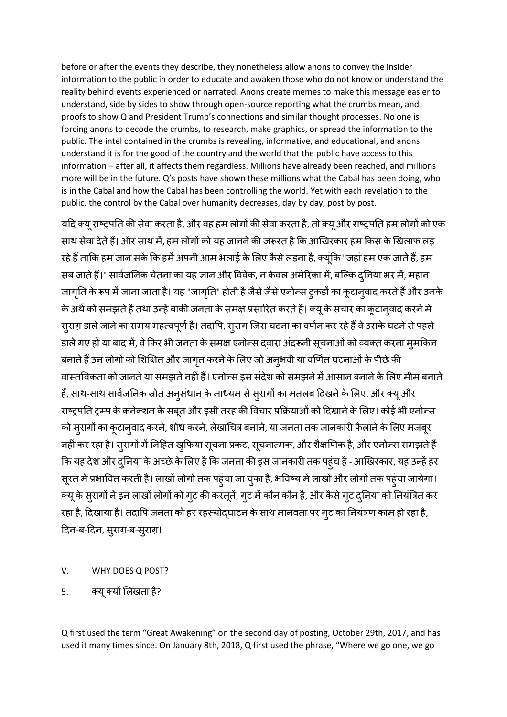before or after the events they describe, they nonetheless allow anons to convey the insider information to the public in order to educate and awaken those who do not know or understand the reality behind events experienced or narrated. Anons create memes to make this message easier to understand, side by sides to show through open-source reporting what the crumbs mean, and proofs to show Q and President Trump's connections and similar thought processes. No one is forcing anons to decode the crumbs, to research, make graphics, or spread the information to the public. The intel contained in the crumbs is revealing, informative, and educational, and anons understand it is for the good of the country and the world that the public have access to this information – after all, it affects them regardless. Millions have already been reached, and millions more will be in the future. Q's posts have shown these millions what the Cabal has been doing, who is in the Cabal and how the Cabal has been controlling the world. Yet with each revelation to the public, the control by the Cabal over humanity decreases, day by day, post by post.

यढद क्यूराष्ट्रपतत की सेवा करता है, और वह हम लोगों की सेवा करता है, तो क्यूऔर राष्ट्रपतत हम लोगों को एक साथ सेवा देते हैं। और साथ में, हम लोगों को यह जानने की जरूरत है कि आखिरकार हम किस के खिलाफ लड़ रहे हैं ताकि हम जान सकें कि हमें अपनी आम भलाई के लिए कैसे लड़ना है, क्यूंकि "जहां हम एक जाते हैं, हम सब जाते हैं।" सार्वजनिक चेतना का यह ज्ञान और विवेक, न केवल अमेरिका में, बल्कि दुनिया भर में, महान जागृति के रूप में जाना जाता है। यह "जागृति" होती है जैसे जैसे एनोन्स ट्कड़ों का कूटान्**वाद करते हैं और उनके** के अर्थ को समझते हैं तथा उन्हें बाकी जनता के समक्ष प्रसारित करते हैं। क्यू के संचार का कूटान्वाद करने में सुराग़ डाले जाने का समय महत्वपूर्ण है। तदापि, सुराग जिस घटना का वर्णन कर रहे हैं वे उसके घटने से पहले डाले गए हों या बाद में, वे फिर भी जनता के समक्ष एनोन्स द्वारा अंदरूनी सूचनाओं को व्यक्त करना म्**मकि**न बनाते हैं उन लोगों को शिक्षित और जागृत करने के लिए जो अनुभवी या वर्णित घटनाओं के पीछे की वास्तविकता को जानते या समझते नहीं हैं। एनोन्स इस संदेश को समझने में आसान बनाने के लिए मीम बनाते हैं, साथ-साथ सार्वजनिक स्रोत अनुसंधान के माध्यम से सुरागों का मतलब दिखने के लिए, और क्यू और राष्ट्रपति ट्रम्प के कनेक्शन के सबूत और इसी तरह की विचार प्रक्रियाओं को दिखाने के लिए। कोई भी एनोन्स को स्रागों का कूटान्वाद करने, शोध करने, लेखाचित्र बनाने, या जनता तक जानकारी फैलाने के लिए मजबूर नहीं कर रहा है। स्**रागों में निहित खुफिया सूचना प्रकट, सूचना**त्मक, और शैक्षणिक है, और एनोन्स समझते हैं कि यह देश और दुनिया के अच्छे के लिए है कि जनता की इस जानकारी तक पहुंच है - आखिरकार, यह उन्हें हर सूरत में प्रभावित करती है। लाखों लोगों तक पहुंचा जा चुका है, भविष्य में लाखों और लोगों तक पहुंचा जायेगा। क्यू के सुरागों ने इन लाखों लोगों को गुट की करतूतें, गुट में कौन कौन है, और कैसे गुट दुनिया को नियंत्रित कर रहा है, दिखाया है। तदापि जनता को हर रहस्योद्घाटन के साथ मानवता पर ग्ट का नियंत्रण काम हो रहा है, ढदन-ब-ढदन, सरुाग़-ब-सरुाग़।

- V. WHY DOES Q POST?
- 5. क्यूक्यों शलखता है?

Q first used the term "Great Awakening" on the second day of posting, October 29th, 2017, and has used it many times since. On January 8th, 2018, Q first used the phrase, "Where we go one, we go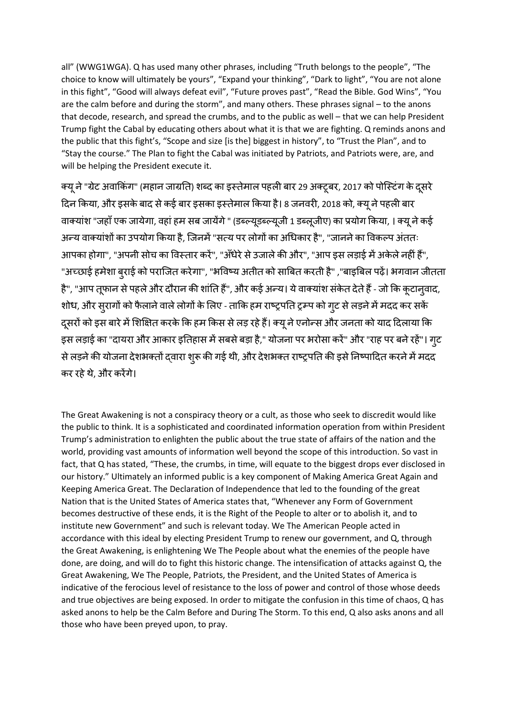all" (WWG1WGA). Q has used many other phrases, including "Truth belongs to the people", "The choice to know will ultimately be yours", "Expand your thinking", "Dark to light", "You are not alone in this fight", "Good will always defeat evil", "Future proves past", "Read the Bible. God Wins", "You are the calm before and during the storm", and many others. These phrases signal – to the anons that decode, research, and spread the crumbs, and to the public as well – that we can help President Trump fight the Cabal by educating others about what it is that we are fighting. Q reminds anons and the public that this fight's, "Scope and size [is the] biggest in history", to "Trust the Plan", and to "Stay the course." The Plan to fight the Cabal was initiated by Patriots, and Patriots were, are, and will be helping the President execute it.

क्यू ने "ग्रेट अवाकिंग" (महान जाग्रति) शब्द का इस्तेमाल पहली बार 29 अक्टूबर, 2017 को पोस्टिंग के दूसरे दिन किया, और इसके बाद से कई बार इसका इस्तेमाल किया है। 8 जनवरी, 2018 को, क्यू ने पहली बार वाक्यांश "जहाँ एक जायेगा, वहां हम सब जायेंगे " (डब्ल्यूडब्ल्यूजी 1 डब्लूजीए) का प्रयोग किया, । क्यू ने कई अन्य वाक्यांशों का उपयोग किया है, जिनमें "सत्य पर लोगों का अधिकार है", "जानने का विकल्प अंततः आपका होगा", "अपनी सोच का विस्तार करें", "अँधेरे से उजाले की और", "आप इस लड़ाई में अकेले नहीं हैं", "अच्छाई हमेशा ब्**राई को पराजित करेगा", "भविष्य अतीत को** साबित करती है" ,"बाइबिल पढ़ें। भगवान जीतता है", "आप तूफान से पहले और दौरान की शांति हैं", और कई अन्य। ये वाक्यांश संकेत देते हैं - जो कि कूटान्**वाद,** शोध, और सुरागों को फैलाने वाले लोगों के लिए - ताकि हम राष्ट्रपति ट्रम्प को गुट से लड़ने में मदद कर सकें दूसरों को इस बारे में शिक्षित करके कि हम किस से लड़ रहे हैं। क्यू ने एनोन्स और जनता को याद दिलाया कि इस लड़ाई का "दायरा और आकार इतिहास में सबसे बड़ा है," योजना पर भरोसा करें" और "राह पर बने रहें"। गृट से लड़ने की योजना देशभक्तों दवारा शुरू की गई थी, और देशभक्त राष्ट्रपति की इसे निष्पादित करने में मदद कर रहेथे, और करेंगे।

The Great Awakening is not a conspiracy theory or a cult, as those who seek to discredit would like the public to think. It is a sophisticated and coordinated information operation from within President Trump's administration to enlighten the public about the true state of affairs of the nation and the world, providing vast amounts of information well beyond the scope of this introduction. So vast in fact, that Q has stated, "These, the crumbs, in time, will equate to the biggest drops ever disclosed in our history." Ultimately an informed public is a key component of Making America Great Again and Keeping America Great. The Declaration of Independence that led to the founding of the great Nation that is the United States of America states that, "Whenever any Form of Government becomes destructive of these ends, it is the Right of the People to alter or to abolish it, and to institute new Government" and such is relevant today. We The American People acted in accordance with this ideal by electing President Trump to renew our government, and Q, through the Great Awakening, is enlightening We The People about what the enemies of the people have done, are doing, and will do to fight this historic change. The intensification of attacks against Q, the Great Awakening, We The People, Patriots, the President, and the United States of America is indicative of the ferocious level of resistance to the loss of power and control of those whose deeds and true objectives are being exposed. In order to mitigate the confusion in this time of chaos, Q has asked anons to help be the Calm Before and During The Storm. To this end, Q also asks anons and all those who have been preyed upon, to pray.